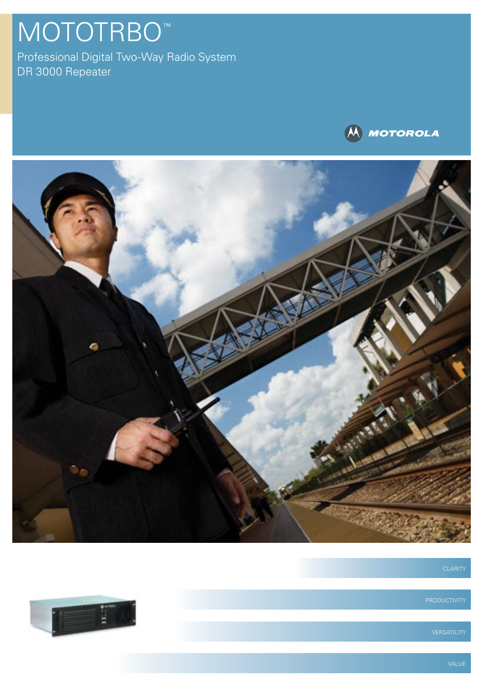## MOTOTRBO<sup>™</sup>

Professional Digital Two-Way Radio System DR 3000 Repeater





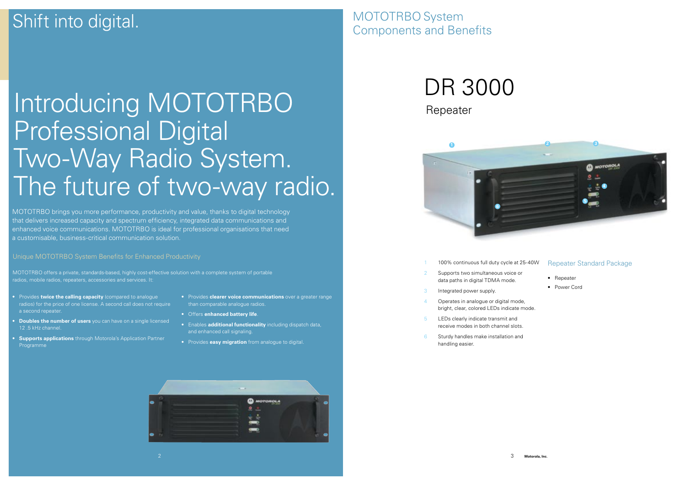MOTOTRBO System Components and Benefits



# DR 3000

Repeater

- 100% continuous full duty cycle at 25-40W
- Supports two simultaneous voice or data paths in digital TDMA mode.
- 3 Integrated power supply.
- 4 Operates in analogue or digital mode, bright, clear, colored LEDs indicate mode.
- 5 LEDs clearly indicate transmit and receive modes in both channel slots.
- 6 Sturdy handles make installation and handling easier.

## Repeater Standard Package

- Repeater
- Power Cord

## Shift into digital.

MOTOTRBO brings you more performance, productivity and value, thanks to digital technology that delivers increased capacity and spectrum efficiency, integrated data communications and enhanced voice communications. MOTOTRBO is ideal for professional organisations that need a customisable, business-critical communication solution.

# Introducing MOTOTRBO Professional Digital Two-Way Radio System. The future of two-way radio.

Unique MOTOTRBO System Benefits for Enhanced Productivity

- Provides **twice the calling capacity** (compared to analogue radios) for the price of one license. A second call does not require a second repeater.
- **Doubles the number of users** you can have on a single licensed 12 .5 kHz channel.
- **Supports applications** through Motorola's Application Partner Programme
- Provides **clearer voice communications** over a greater range than comparable analogue radios.
- Offers **enhanced battery life**.
- Enables **additional functionality** including dispatch data, and enhanced call signaling.
- Provides **easy migration** from analogue to digital.



MOTOTRBO offers a private, standards-based, highly cost-effective solution with a complete system of portable radios, mobile radios, repeaters, accessories and services. It: